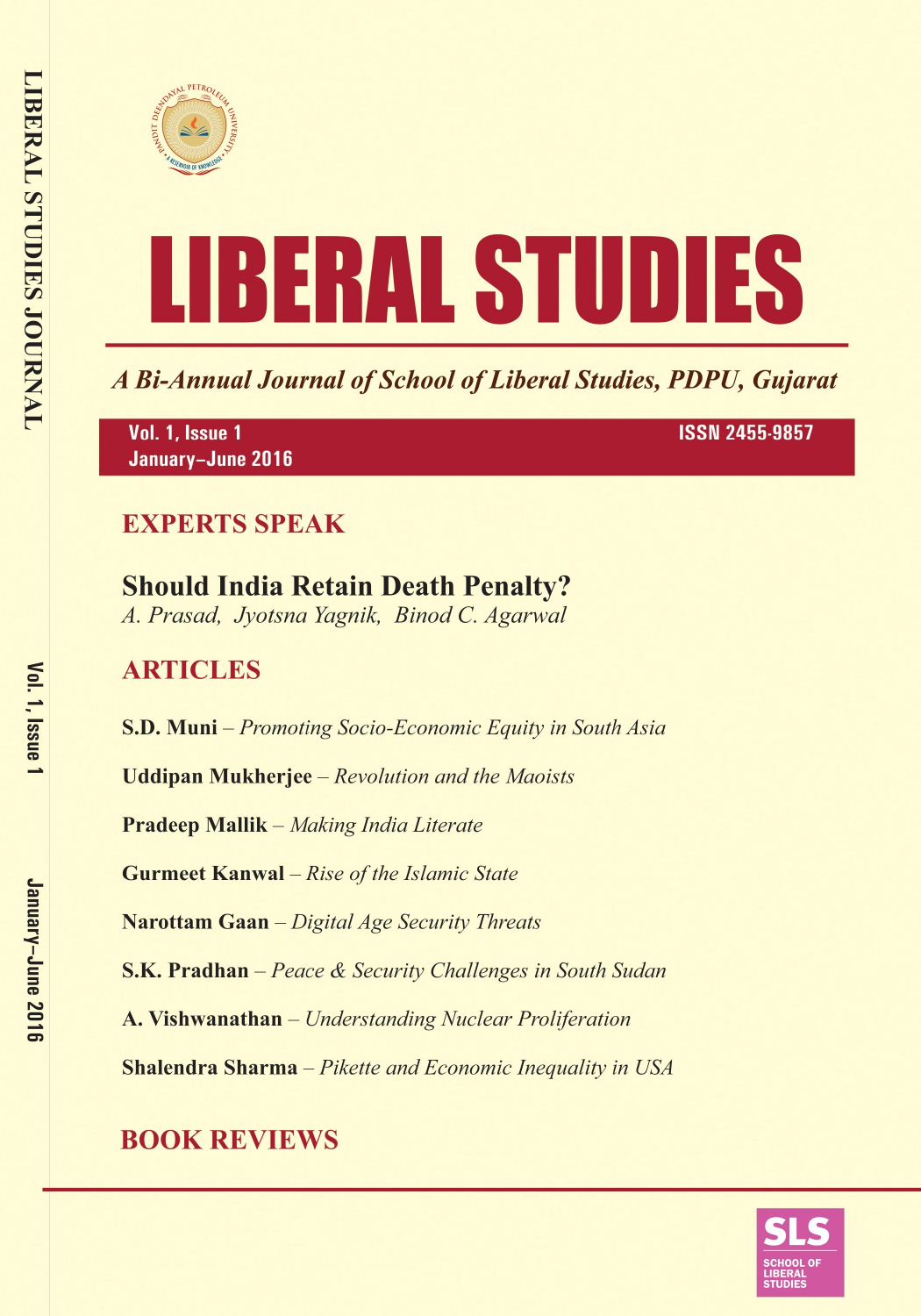



A Bi-Annual Journal of School of Liberal Studies, PDPU, Gujarat

Vol. 1, Issue 1 January-June 2016 **ISSN 2455-9857** 

## **EXPERTS SPEAK**

# **Should India Retain Death Penalty?**

A. Prasad, Jyotsna Yagnik, Binod C. Agarwal

## **ARTICLES**

**S.D. Muni** – Promoting Socio-Economic Equity in South Asia

**Uddipan Mukherjee** – Revolution and the Maoists

**Pradeep Mallik** – Making India Literate

**Gurmeet Kanwal** - Rise of the Islamic State

Narottam Gaan - Digital Age Security Threats

**S.K. Pradhan** – Peace & Security Challenges in South Sudan

A. Vishwanathan - Understanding Nuclear Proliferation

**Shalendra Sharma** - Pikette and Economic Inequality in USA

# **BOOK REVIEWS**

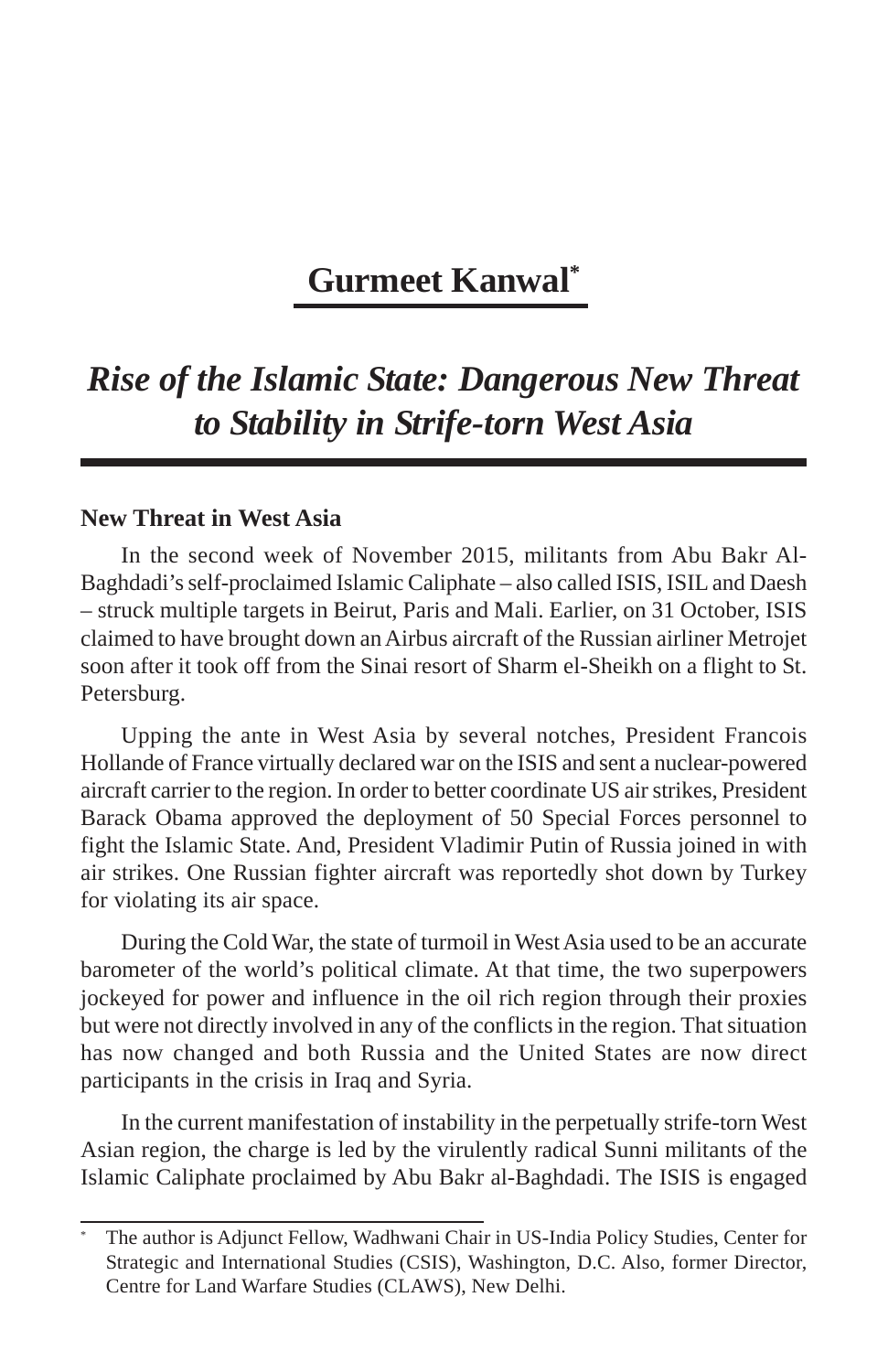### **Gurmeet Kanwal\***

### *Rise of the Islamic State: Dangerous New Threat to Stability in Strife-torn West Asia*

#### **New Threat in West Asia**

In the second week of November 2015, militants from Abu Bakr Al-Baghdadi's self-proclaimed Islamic Caliphate – also called ISIS, ISIL and Daesh – struck multiple targets in Beirut, Paris and Mali. Earlier, on 31 October, ISIS claimed to have brought down an Airbus aircraft of the Russian airliner Metrojet soon after it took off from the Sinai resort of Sharm el-Sheikh on a flight to St. Petersburg.

Upping the ante in West Asia by several notches, President Francois Hollande of France virtually declared war on the ISIS and sent a nuclear-powered aircraft carrier to the region. In order to better coordinate US air strikes, President Barack Obama approved the deployment of 50 Special Forces personnel to fight the Islamic State. And, President Vladimir Putin of Russia joined in with air strikes. One Russian fighter aircraft was reportedly shot down by Turkey for violating its air space.

During the Cold War, the state of turmoil in West Asia used to be an accurate barometer of the world's political climate. At that time, the two superpowers jockeyed for power and influence in the oil rich region through their proxies but were not directly involved in any of the conflicts in the region. That situation has now changed and both Russia and the United States are now direct participants in the crisis in Iraq and Syria.

In the current manifestation of instability in the perpetually strife-torn West Asian region, the charge is led by the virulently radical Sunni militants of the Islamic Caliphate proclaimed by Abu Bakr al-Baghdadi. The ISIS is engaged

The author is Adjunct Fellow, Wadhwani Chair in US-India Policy Studies, Center for Strategic and International Studies (CSIS), Washington, D.C. Also, former Director, Centre for Land Warfare Studies (CLAWS), New Delhi.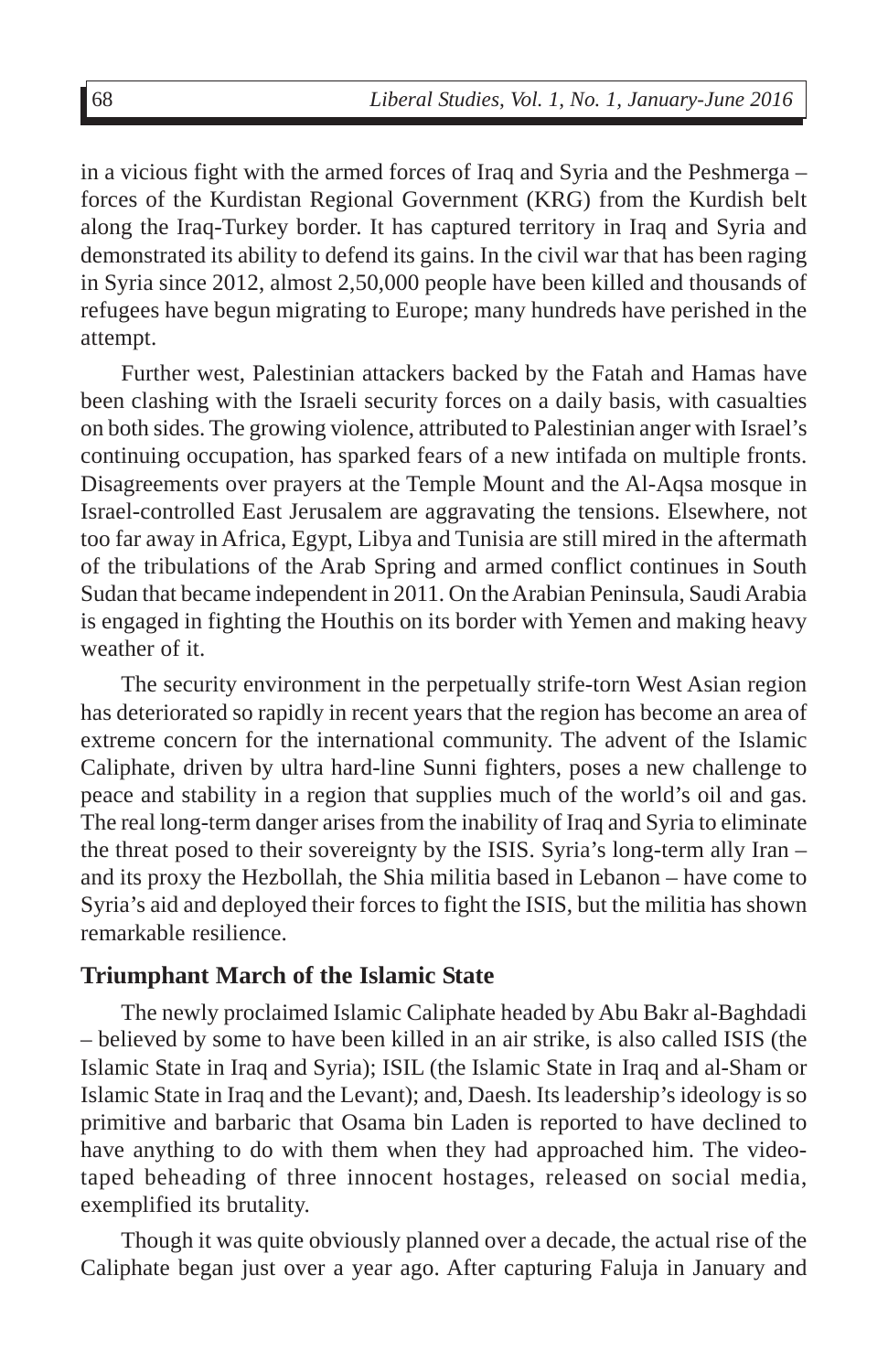in a vicious fight with the armed forces of Iraq and Syria and the Peshmerga – forces of the Kurdistan Regional Government (KRG) from the Kurdish belt along the Iraq-Turkey border. It has captured territory in Iraq and Syria and demonstrated its ability to defend its gains. In the civil war that has been raging in Syria since 2012, almost 2,50,000 people have been killed and thousands of refugees have begun migrating to Europe; many hundreds have perished in the attempt.

Further west, Palestinian attackers backed by the Fatah and Hamas have been clashing with the Israeli security forces on a daily basis, with casualties on both sides. The growing violence, attributed to Palestinian anger with Israel's continuing occupation, has sparked fears of a new intifada on multiple fronts. Disagreements over prayers at the Temple Mount and the Al-Aqsa mosque in Israel-controlled East Jerusalem are aggravating the tensions. Elsewhere, not too far away in Africa, Egypt, Libya and Tunisia are still mired in the aftermath of the tribulations of the Arab Spring and armed conflict continues in South Sudan that became independent in 2011. On the Arabian Peninsula, Saudi Arabia is engaged in fighting the Houthis on its border with Yemen and making heavy weather of it.

The security environment in the perpetually strife-torn West Asian region has deteriorated so rapidly in recent years that the region has become an area of extreme concern for the international community. The advent of the Islamic Caliphate, driven by ultra hard-line Sunni fighters, poses a new challenge to peace and stability in a region that supplies much of the world's oil and gas. The real long-term danger arises from the inability of Iraq and Syria to eliminate the threat posed to their sovereignty by the ISIS. Syria's long-term ally Iran – and its proxy the Hezbollah, the Shia militia based in Lebanon – have come to Syria's aid and deployed their forces to fight the ISIS, but the militia has shown remarkable resilience.

#### **Triumphant March of the Islamic State**

The newly proclaimed Islamic Caliphate headed by Abu Bakr al-Baghdadi – believed by some to have been killed in an air strike, is also called ISIS (the Islamic State in Iraq and Syria); ISIL (the Islamic State in Iraq and al-Sham or Islamic State in Iraq and the Levant); and, Daesh. Its leadership's ideology is so primitive and barbaric that Osama bin Laden is reported to have declined to have anything to do with them when they had approached him. The videotaped beheading of three innocent hostages, released on social media, exemplified its brutality.

Though it was quite obviously planned over a decade, the actual rise of the Caliphate began just over a year ago. After capturing Faluja in January and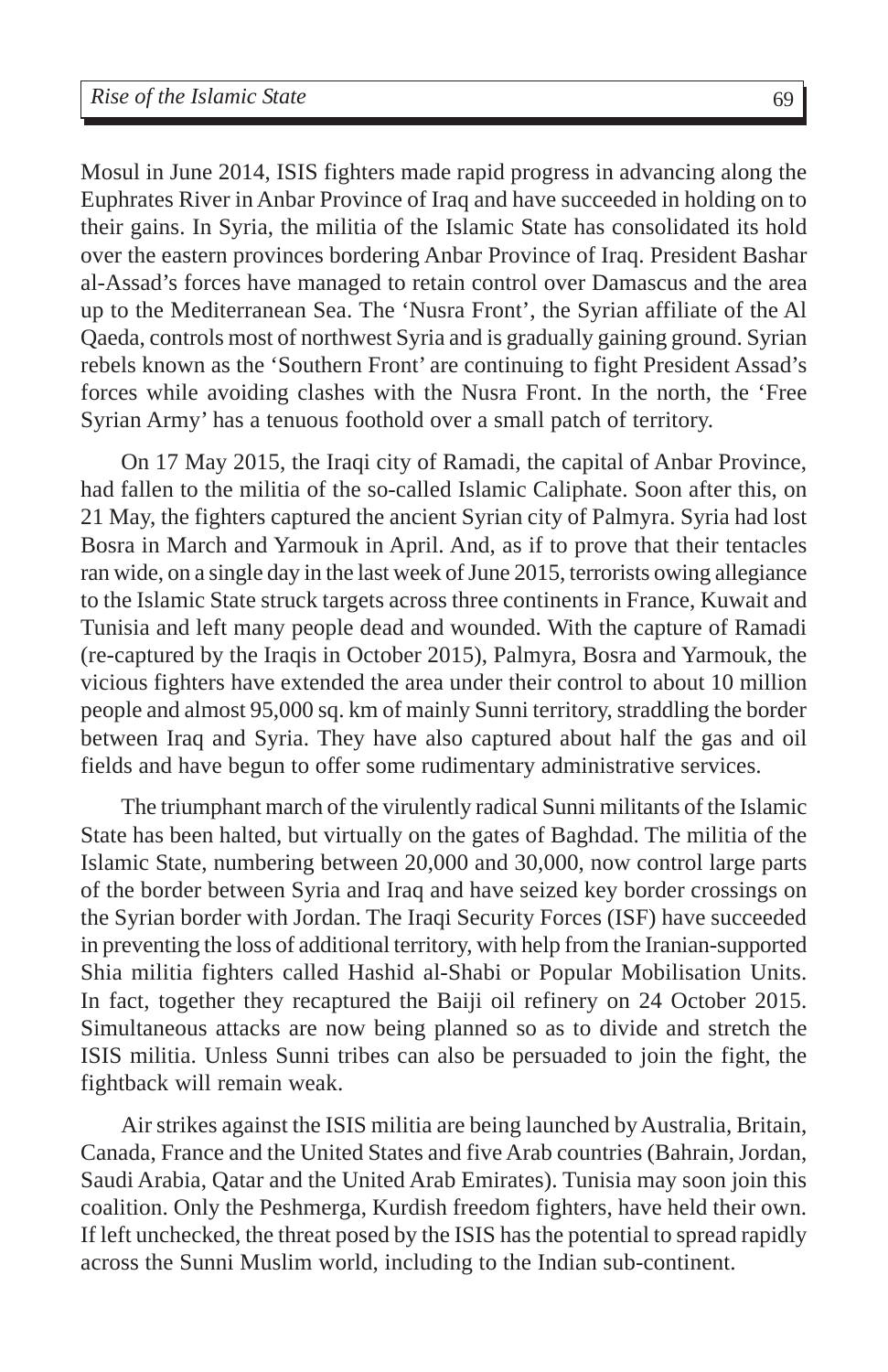Mosul in June 2014, ISIS fighters made rapid progress in advancing along the Euphrates River in Anbar Province of Iraq and have succeeded in holding on to their gains. In Syria, the militia of the Islamic State has consolidated its hold over the eastern provinces bordering Anbar Province of Iraq. President Bashar al-Assad's forces have managed to retain control over Damascus and the area up to the Mediterranean Sea. The 'Nusra Front', the Syrian affiliate of the Al Qaeda, controls most of northwest Syria and is gradually gaining ground. Syrian rebels known as the 'Southern Front' are continuing to fight President Assad's forces while avoiding clashes with the Nusra Front. In the north, the 'Free Syrian Army' has a tenuous foothold over a small patch of territory.

On 17 May 2015, the Iraqi city of Ramadi, the capital of Anbar Province, had fallen to the militia of the so-called Islamic Caliphate. Soon after this, on 21 May, the fighters captured the ancient Syrian city of Palmyra. Syria had lost Bosra in March and Yarmouk in April. And, as if to prove that their tentacles ran wide, on a single day in the last week of June 2015, terrorists owing allegiance to the Islamic State struck targets across three continents in France, Kuwait and Tunisia and left many people dead and wounded. With the capture of Ramadi (re-captured by the Iraqis in October 2015), Palmyra, Bosra and Yarmouk, the vicious fighters have extended the area under their control to about 10 million people and almost 95,000 sq. km of mainly Sunni territory, straddling the border between Iraq and Syria. They have also captured about half the gas and oil fields and have begun to offer some rudimentary administrative services.

The triumphant march of the virulently radical Sunni militants of the Islamic State has been halted, but virtually on the gates of Baghdad. The militia of the Islamic State, numbering between 20,000 and 30,000, now control large parts of the border between Syria and Iraq and have seized key border crossings on the Syrian border with Jordan. The Iraqi Security Forces (ISF) have succeeded in preventing the loss of additional territory, with help from the Iranian-supported Shia militia fighters called Hashid al-Shabi or Popular Mobilisation Units. In fact, together they recaptured the Baiji oil refinery on 24 October 2015. Simultaneous attacks are now being planned so as to divide and stretch the ISIS militia. Unless Sunni tribes can also be persuaded to join the fight, the fightback will remain weak.

Air strikes against the ISIS militia are being launched by Australia, Britain, Canada, France and the United States and five Arab countries (Bahrain, Jordan, Saudi Arabia, Qatar and the United Arab Emirates). Tunisia may soon join this coalition. Only the Peshmerga, Kurdish freedom fighters, have held their own. If left unchecked, the threat posed by the ISIS has the potential to spread rapidly across the Sunni Muslim world, including to the Indian sub-continent.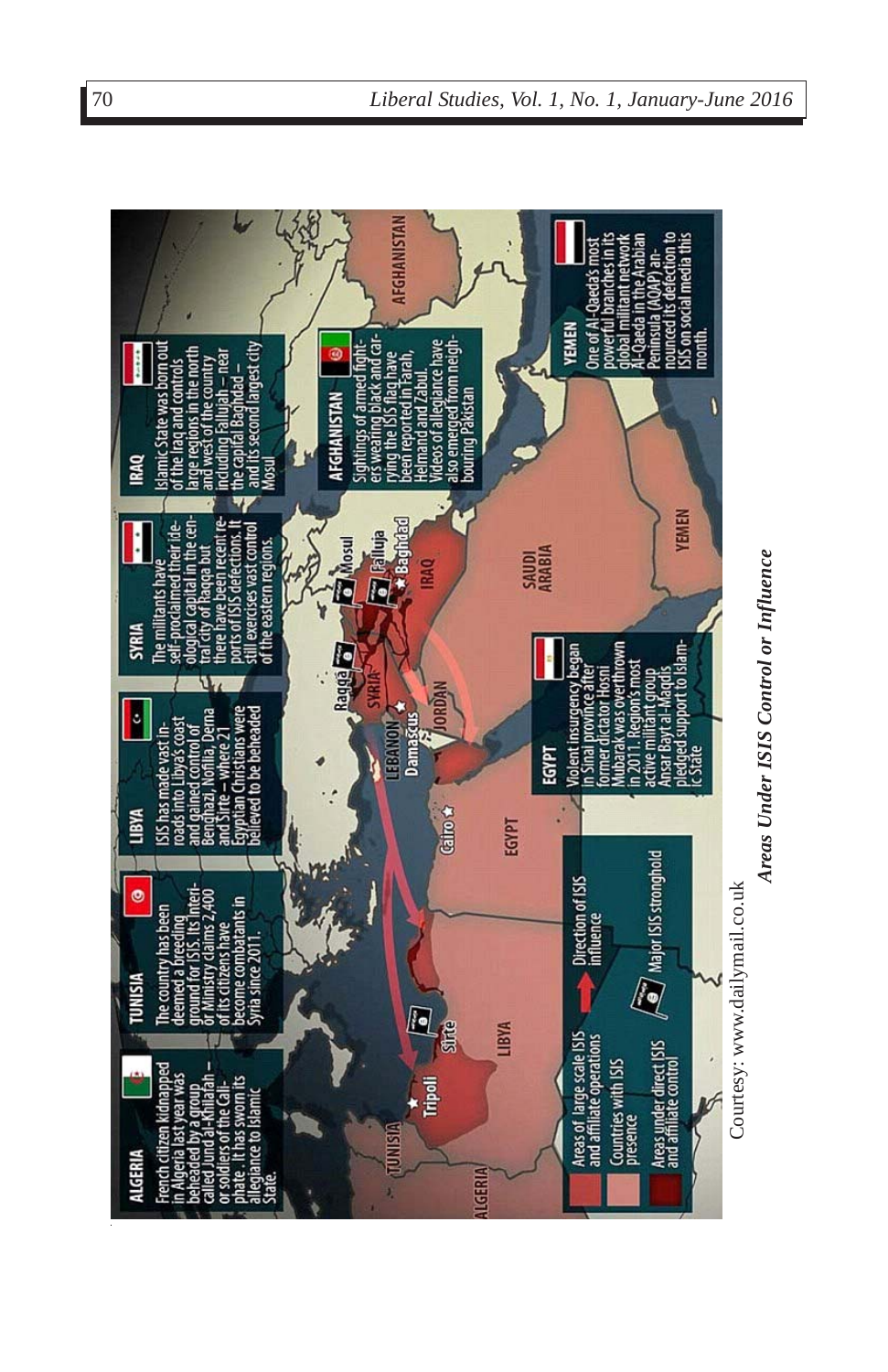

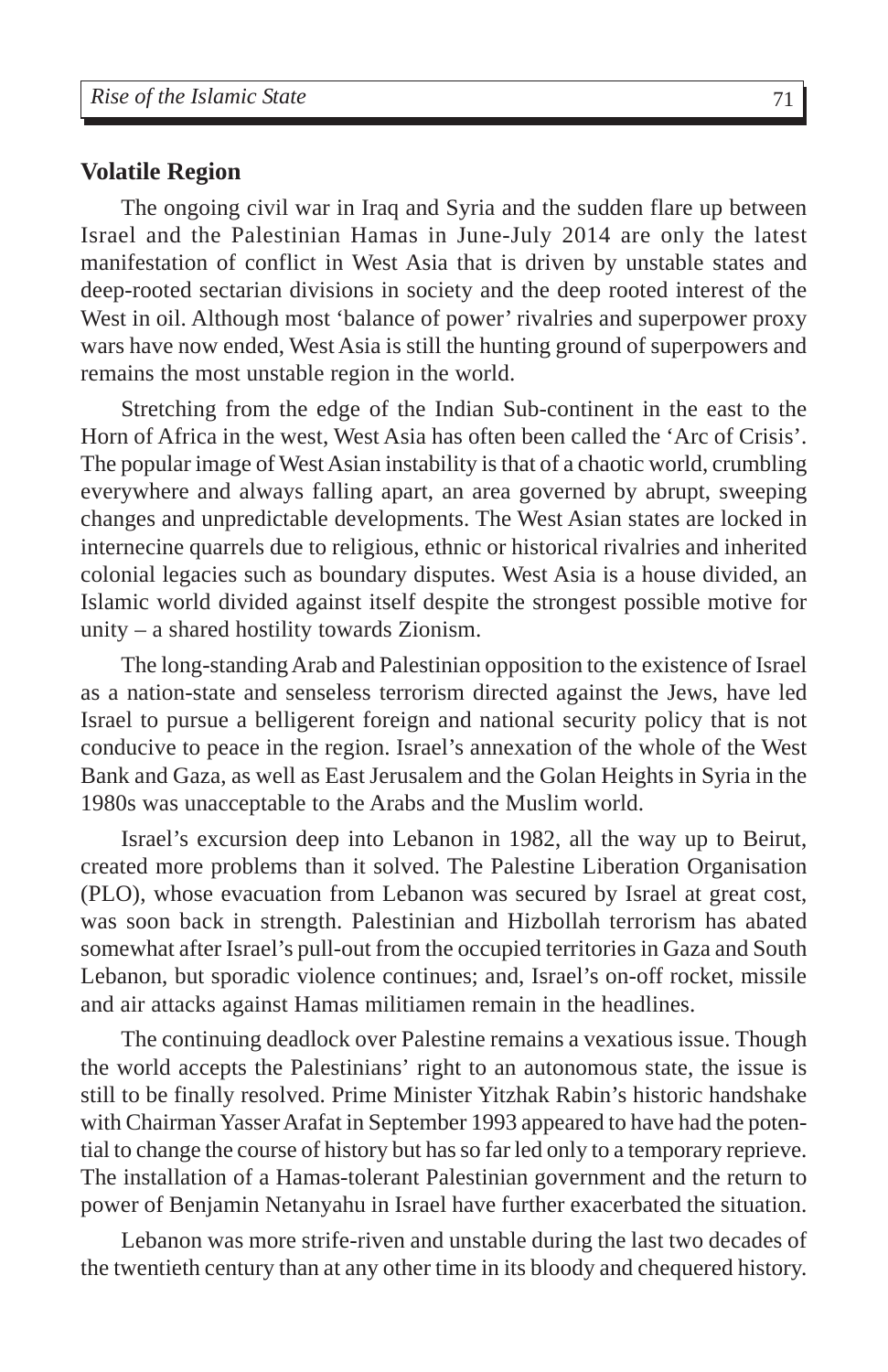#### **Volatile Region**

The ongoing civil war in Iraq and Syria and the sudden flare up between Israel and the Palestinian Hamas in June-July 2014 are only the latest manifestation of conflict in West Asia that is driven by unstable states and deep-rooted sectarian divisions in society and the deep rooted interest of the West in oil. Although most 'balance of power' rivalries and superpower proxy wars have now ended, West Asia is still the hunting ground of superpowers and remains the most unstable region in the world.

Stretching from the edge of the Indian Sub-continent in the east to the Horn of Africa in the west, West Asia has often been called the 'Arc of Crisis'. The popular image of West Asian instability is that of a chaotic world, crumbling everywhere and always falling apart, an area governed by abrupt, sweeping changes and unpredictable developments. The West Asian states are locked in internecine quarrels due to religious, ethnic or historical rivalries and inherited colonial legacies such as boundary disputes. West Asia is a house divided, an Islamic world divided against itself despite the strongest possible motive for unity – a shared hostility towards Zionism.

The long-standing Arab and Palestinian opposition to the existence of Israel as a nation-state and senseless terrorism directed against the Jews, have led Israel to pursue a belligerent foreign and national security policy that is not conducive to peace in the region. Israel's annexation of the whole of the West Bank and Gaza, as well as East Jerusalem and the Golan Heights in Syria in the 1980s was unacceptable to the Arabs and the Muslim world.

Israel's excursion deep into Lebanon in 1982, all the way up to Beirut, created more problems than it solved. The Palestine Liberation Organisation (PLO), whose evacuation from Lebanon was secured by Israel at great cost, was soon back in strength. Palestinian and Hizbollah terrorism has abated somewhat after Israel's pull-out from the occupied territories in Gaza and South Lebanon, but sporadic violence continues; and, Israel's on-off rocket, missile and air attacks against Hamas militiamen remain in the headlines.

The continuing deadlock over Palestine remains a vexatious issue. Though the world accepts the Palestinians' right to an autonomous state, the issue is still to be finally resolved. Prime Minister Yitzhak Rabin's historic handshake with Chairman Yasser Arafat in September 1993 appeared to have had the potential to change the course of history but has so far led only to a temporary reprieve. The installation of a Hamas-tolerant Palestinian government and the return to power of Benjamin Netanyahu in Israel have further exacerbated the situation.

Lebanon was more strife-riven and unstable during the last two decades of the twentieth century than at any other time in its bloody and chequered history.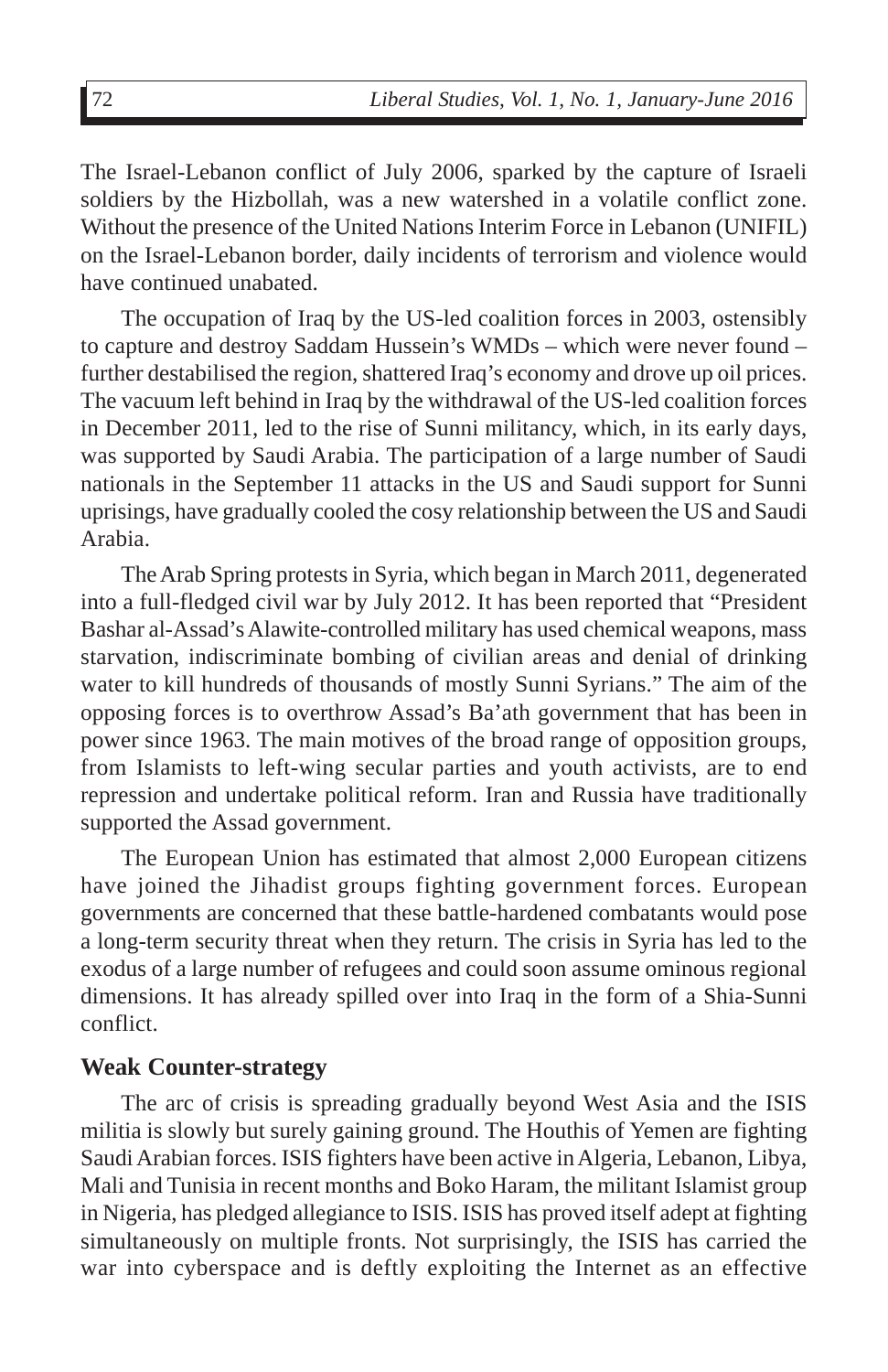The Israel-Lebanon conflict of July 2006, sparked by the capture of Israeli soldiers by the Hizbollah, was a new watershed in a volatile conflict zone. Without the presence of the United Nations Interim Force in Lebanon (UNIFIL) on the Israel-Lebanon border, daily incidents of terrorism and violence would have continued unabated.

The occupation of Iraq by the US-led coalition forces in 2003, ostensibly to capture and destroy Saddam Hussein's WMDs – which were never found – further destabilised the region, shattered Iraq's economy and drove up oil prices. The vacuum left behind in Iraq by the withdrawal of the US-led coalition forces in December 2011, led to the rise of Sunni militancy, which, in its early days, was supported by Saudi Arabia. The participation of a large number of Saudi nationals in the September 11 attacks in the US and Saudi support for Sunni uprisings, have gradually cooled the cosy relationship between the US and Saudi Arabia.

The Arab Spring protests in Syria, which began in March 2011, degenerated into a full-fledged civil war by July 2012. It has been reported that "President Bashar al-Assad's Alawite-controlled military has used chemical weapons, mass starvation, indiscriminate bombing of civilian areas and denial of drinking water to kill hundreds of thousands of mostly Sunni Syrians." The aim of the opposing forces is to overthrow Assad's Ba'ath government that has been in power since 1963. The main motives of the broad range of opposition groups, from Islamists to left-wing secular parties and youth activists, are to end repression and undertake political reform. Iran and Russia have traditionally supported the Assad government.

The European Union has estimated that almost 2,000 European citizens have joined the Jihadist groups fighting government forces. European governments are concerned that these battle-hardened combatants would pose a long-term security threat when they return. The crisis in Syria has led to the exodus of a large number of refugees and could soon assume ominous regional dimensions. It has already spilled over into Iraq in the form of a Shia-Sunni conflict.

#### **Weak Counter-strategy**

The arc of crisis is spreading gradually beyond West Asia and the ISIS militia is slowly but surely gaining ground. The Houthis of Yemen are fighting Saudi Arabian forces. ISIS fighters have been active in Algeria, Lebanon, Libya, Mali and Tunisia in recent months and Boko Haram, the militant Islamist group in Nigeria, has pledged allegiance to ISIS. ISIS has proved itself adept at fighting simultaneously on multiple fronts. Not surprisingly, the ISIS has carried the war into cyberspace and is deftly exploiting the Internet as an effective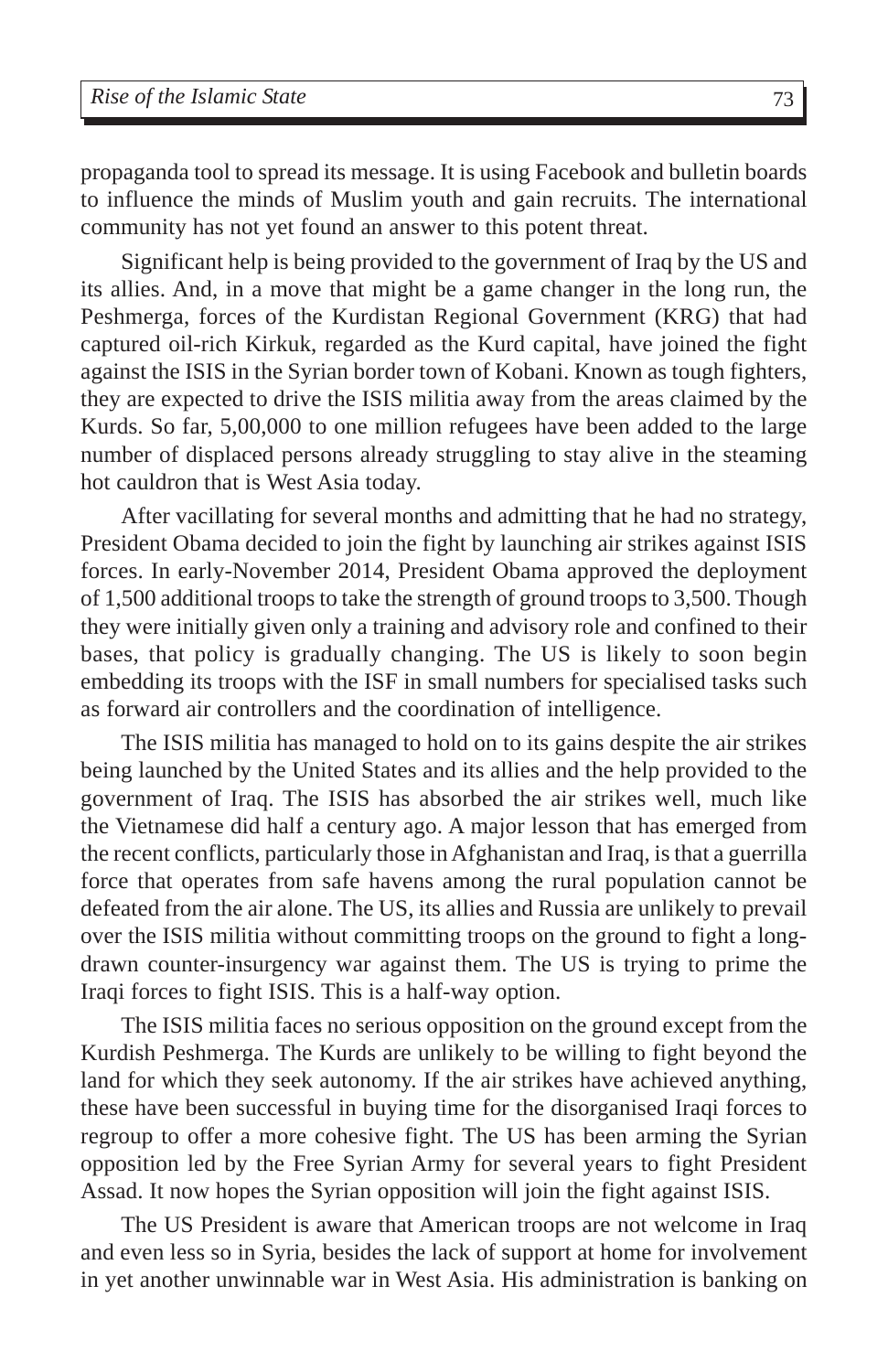propaganda tool to spread its message. It is using Facebook and bulletin boards to influence the minds of Muslim youth and gain recruits. The international community has not yet found an answer to this potent threat.

Significant help is being provided to the government of Iraq by the US and its allies. And, in a move that might be a game changer in the long run, the Peshmerga, forces of the Kurdistan Regional Government (KRG) that had captured oil-rich Kirkuk, regarded as the Kurd capital, have joined the fight against the ISIS in the Syrian border town of Kobani. Known as tough fighters, they are expected to drive the ISIS militia away from the areas claimed by the Kurds. So far, 5,00,000 to one million refugees have been added to the large number of displaced persons already struggling to stay alive in the steaming hot cauldron that is West Asia today.

After vacillating for several months and admitting that he had no strategy, President Obama decided to join the fight by launching air strikes against ISIS forces. In early-November 2014, President Obama approved the deployment of 1,500 additional troops to take the strength of ground troops to 3,500. Though they were initially given only a training and advisory role and confined to their bases, that policy is gradually changing. The US is likely to soon begin embedding its troops with the ISF in small numbers for specialised tasks such as forward air controllers and the coordination of intelligence.

The ISIS militia has managed to hold on to its gains despite the air strikes being launched by the United States and its allies and the help provided to the government of Iraq. The ISIS has absorbed the air strikes well, much like the Vietnamese did half a century ago. A major lesson that has emerged from the recent conflicts, particularly those in Afghanistan and Iraq, is that a guerrilla force that operates from safe havens among the rural population cannot be defeated from the air alone. The US, its allies and Russia are unlikely to prevail over the ISIS militia without committing troops on the ground to fight a longdrawn counter-insurgency war against them. The US is trying to prime the Iraqi forces to fight ISIS. This is a half-way option.

The ISIS militia faces no serious opposition on the ground except from the Kurdish Peshmerga. The Kurds are unlikely to be willing to fight beyond the land for which they seek autonomy. If the air strikes have achieved anything, these have been successful in buying time for the disorganised Iraqi forces to regroup to offer a more cohesive fight. The US has been arming the Syrian opposition led by the Free Syrian Army for several years to fight President Assad. It now hopes the Syrian opposition will join the fight against ISIS.

The US President is aware that American troops are not welcome in Iraq and even less so in Syria, besides the lack of support at home for involvement in yet another unwinnable war in West Asia. His administration is banking on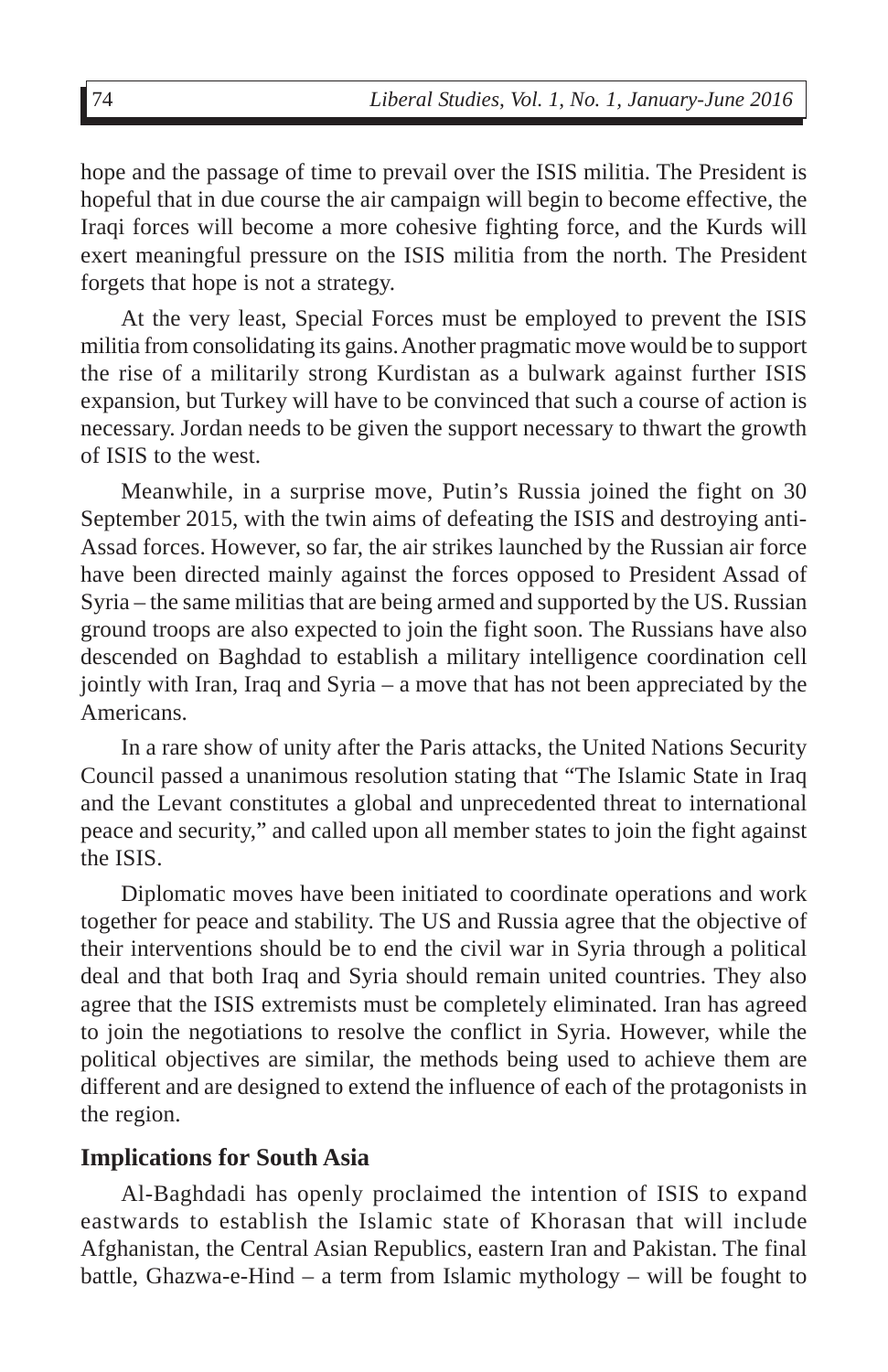hope and the passage of time to prevail over the ISIS militia. The President is hopeful that in due course the air campaign will begin to become effective, the Iraqi forces will become a more cohesive fighting force, and the Kurds will exert meaningful pressure on the ISIS militia from the north. The President forgets that hope is not a strategy.

At the very least, Special Forces must be employed to prevent the ISIS militia from consolidating its gains. Another pragmatic move would be to support the rise of a militarily strong Kurdistan as a bulwark against further ISIS expansion, but Turkey will have to be convinced that such a course of action is necessary. Jordan needs to be given the support necessary to thwart the growth of ISIS to the west.

Meanwhile, in a surprise move, Putin's Russia joined the fight on 30 September 2015, with the twin aims of defeating the ISIS and destroying anti-Assad forces. However, so far, the air strikes launched by the Russian air force have been directed mainly against the forces opposed to President Assad of Syria – the same militias that are being armed and supported by the US. Russian ground troops are also expected to join the fight soon. The Russians have also descended on Baghdad to establish a military intelligence coordination cell jointly with Iran, Iraq and Syria – a move that has not been appreciated by the Americans.

In a rare show of unity after the Paris attacks, the United Nations Security Council passed a unanimous resolution stating that "The Islamic State in Iraq and the Levant constitutes a global and unprecedented threat to international peace and security," and called upon all member states to join the fight against the ISIS.

Diplomatic moves have been initiated to coordinate operations and work together for peace and stability. The US and Russia agree that the objective of their interventions should be to end the civil war in Syria through a political deal and that both Iraq and Syria should remain united countries. They also agree that the ISIS extremists must be completely eliminated. Iran has agreed to join the negotiations to resolve the conflict in Syria. However, while the political objectives are similar, the methods being used to achieve them are different and are designed to extend the influence of each of the protagonists in the region.

#### **Implications for South Asia**

Al-Baghdadi has openly proclaimed the intention of ISIS to expand eastwards to establish the Islamic state of Khorasan that will include Afghanistan, the Central Asian Republics, eastern Iran and Pakistan. The final battle, Ghazwa-e-Hind – a term from Islamic mythology – will be fought to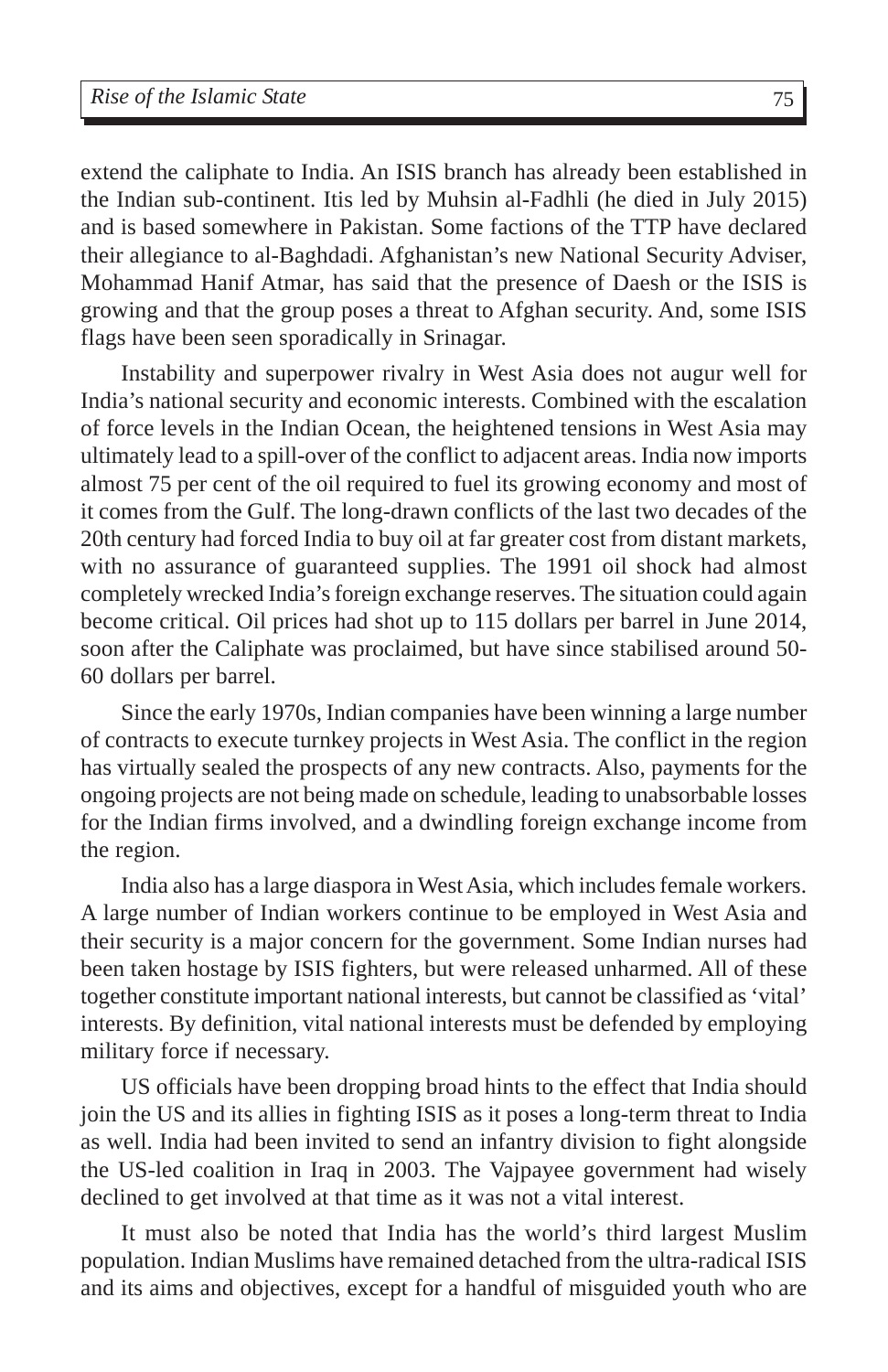extend the caliphate to India. An ISIS branch has already been established in the Indian sub-continent. Itis led by Muhsin al-Fadhli (he died in July 2015) and is based somewhere in Pakistan. Some factions of the TTP have declared their allegiance to al-Baghdadi. Afghanistan's new National Security Adviser, Mohammad Hanif Atmar, has said that the presence of Daesh or the ISIS is growing and that the group poses a threat to Afghan security. And, some ISIS flags have been seen sporadically in Srinagar.

Instability and superpower rivalry in West Asia does not augur well for India's national security and economic interests. Combined with the escalation of force levels in the Indian Ocean, the heightened tensions in West Asia may ultimately lead to a spill-over of the conflict to adjacent areas. India now imports almost 75 per cent of the oil required to fuel its growing economy and most of it comes from the Gulf. The long-drawn conflicts of the last two decades of the 20th century had forced India to buy oil at far greater cost from distant markets, with no assurance of guaranteed supplies. The 1991 oil shock had almost completely wrecked India's foreign exchange reserves. The situation could again become critical. Oil prices had shot up to 115 dollars per barrel in June 2014, soon after the Caliphate was proclaimed, but have since stabilised around 50- 60 dollars per barrel.

Since the early 1970s, Indian companies have been winning a large number of contracts to execute turnkey projects in West Asia. The conflict in the region has virtually sealed the prospects of any new contracts. Also, payments for the ongoing projects are not being made on schedule, leading to unabsorbable losses for the Indian firms involved, and a dwindling foreign exchange income from the region.

India also has a large diaspora in West Asia, which includes female workers. A large number of Indian workers continue to be employed in West Asia and their security is a major concern for the government. Some Indian nurses had been taken hostage by ISIS fighters, but were released unharmed. All of these together constitute important national interests, but cannot be classified as 'vital' interests. By definition, vital national interests must be defended by employing military force if necessary.

US officials have been dropping broad hints to the effect that India should join the US and its allies in fighting ISIS as it poses a long-term threat to India as well. India had been invited to send an infantry division to fight alongside the US-led coalition in Iraq in 2003. The Vajpayee government had wisely declined to get involved at that time as it was not a vital interest.

It must also be noted that India has the world's third largest Muslim population. Indian Muslims have remained detached from the ultra-radical ISIS and its aims and objectives, except for a handful of misguided youth who are